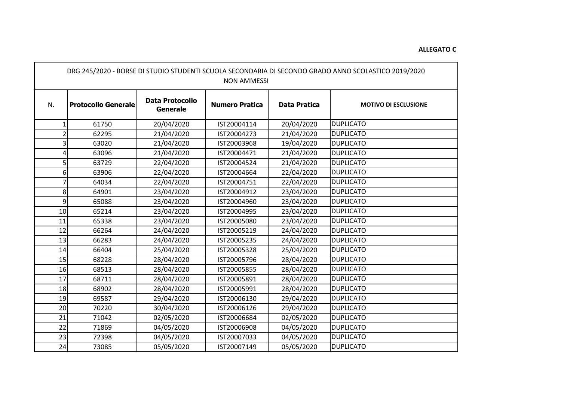## **ALLEGATO C**

| DRG 245/2020 - BORSE DI STUDIO STUDENTI SCUOLA SECONDARIA DI SECONDO GRADO ANNO SCOLASTICO 2019/2020<br><b>NON AMMESSI</b> |                            |                                           |                       |                     |                             |  |  |  |
|----------------------------------------------------------------------------------------------------------------------------|----------------------------|-------------------------------------------|-----------------------|---------------------|-----------------------------|--|--|--|
| N.                                                                                                                         | <b>Protocollo Generale</b> | <b>Data Protocollo</b><br><b>Generale</b> | <b>Numero Pratica</b> | <b>Data Pratica</b> | <b>MOTIVO DI ESCLUSIONE</b> |  |  |  |
|                                                                                                                            | 61750                      | 20/04/2020                                | IST20004114           | 20/04/2020          | <b>DUPLICATO</b>            |  |  |  |
| 2                                                                                                                          | 62295                      | 21/04/2020                                | IST20004273           | 21/04/2020          | <b>DUPLICATO</b>            |  |  |  |
|                                                                                                                            | 63020                      | 21/04/2020                                | IST20003968           | 19/04/2020          | <b>DUPLICATO</b>            |  |  |  |
|                                                                                                                            | 63096                      | 21/04/2020                                | IST20004471           | 21/04/2020          | <b>DUPLICATO</b>            |  |  |  |
|                                                                                                                            | 63729                      | 22/04/2020                                | IST20004524           | 21/04/2020          | <b>DUPLICATO</b>            |  |  |  |
| 6                                                                                                                          | 63906                      | 22/04/2020                                | IST20004664           | 22/04/2020          | <b>DUPLICATO</b>            |  |  |  |
|                                                                                                                            | 64034                      | 22/04/2020                                | IST20004751           | 22/04/2020          | <b>DUPLICATO</b>            |  |  |  |
| 8                                                                                                                          | 64901                      | 23/04/2020                                | IST20004912           | 23/04/2020          | <b>DUPLICATO</b>            |  |  |  |
| 9                                                                                                                          | 65088                      | 23/04/2020                                | IST20004960           | 23/04/2020          | <b>DUPLICATO</b>            |  |  |  |
| 10                                                                                                                         | 65214                      | 23/04/2020                                | IST20004995           | 23/04/2020          | <b>DUPLICATO</b>            |  |  |  |
| 11                                                                                                                         | 65338                      | 23/04/2020                                | IST20005080           | 23/04/2020          | <b>DUPLICATO</b>            |  |  |  |
| 12                                                                                                                         | 66264                      | 24/04/2020                                | IST20005219           | 24/04/2020          | <b>DUPLICATO</b>            |  |  |  |
| 13                                                                                                                         | 66283                      | 24/04/2020                                | IST20005235           | 24/04/2020          | <b>DUPLICATO</b>            |  |  |  |
| 14                                                                                                                         | 66404                      | 25/04/2020                                | IST20005328           | 25/04/2020          | <b>DUPLICATO</b>            |  |  |  |
| 15                                                                                                                         | 68228                      | 28/04/2020                                | IST20005796           | 28/04/2020          | <b>DUPLICATO</b>            |  |  |  |
| 16                                                                                                                         | 68513                      | 28/04/2020                                | IST20005855           | 28/04/2020          | <b>DUPLICATO</b>            |  |  |  |
| 17                                                                                                                         | 68711                      | 28/04/2020                                | IST20005891           | 28/04/2020          | <b>DUPLICATO</b>            |  |  |  |
| 18                                                                                                                         | 68902                      | 28/04/2020                                | IST20005991           | 28/04/2020          | <b>DUPLICATO</b>            |  |  |  |
| 19                                                                                                                         | 69587                      | 29/04/2020                                | IST20006130           | 29/04/2020          | <b>DUPLICATO</b>            |  |  |  |
| 20                                                                                                                         | 70220                      | 30/04/2020                                | IST20006126           | 29/04/2020          | <b>DUPLICATO</b>            |  |  |  |
| 21                                                                                                                         | 71042                      | 02/05/2020                                | IST20006684           | 02/05/2020          | <b>DUPLICATO</b>            |  |  |  |
| 22                                                                                                                         | 71869                      | 04/05/2020                                | IST20006908           | 04/05/2020          | <b>DUPLICATO</b>            |  |  |  |
| 23                                                                                                                         | 72398                      | 04/05/2020                                | IST20007033           | 04/05/2020          | <b>DUPLICATO</b>            |  |  |  |
| 24                                                                                                                         | 73085                      | 05/05/2020                                | IST20007149           | 05/05/2020          | <b>DUPLICATO</b>            |  |  |  |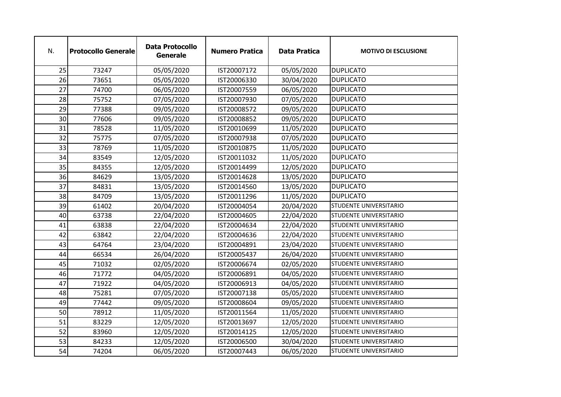| N. | <b>Protocollo Generale</b> | <b>Data Protocollo</b><br><b>Generale</b> | <b>Numero Pratica</b> | <b>Data Pratica</b> | <b>MOTIVO DI ESCLUSIONE</b> |
|----|----------------------------|-------------------------------------------|-----------------------|---------------------|-----------------------------|
| 25 | 73247                      | 05/05/2020                                | IST20007172           | 05/05/2020          | <b>DUPLICATO</b>            |
| 26 | 73651                      | 05/05/2020                                | IST20006330           | 30/04/2020          | <b>DUPLICATO</b>            |
| 27 | 74700                      | 06/05/2020                                | IST20007559           | 06/05/2020          | <b>DUPLICATO</b>            |
| 28 | 75752                      | 07/05/2020                                | IST20007930           | 07/05/2020          | <b>DUPLICATO</b>            |
| 29 | 77388                      | 09/05/2020                                | IST20008572           | 09/05/2020          | <b>DUPLICATO</b>            |
| 30 | 77606                      | 09/05/2020                                | IST20008852           | 09/05/2020          | <b>DUPLICATO</b>            |
| 31 | 78528                      | 11/05/2020                                | IST20010699           | 11/05/2020          | <b>DUPLICATO</b>            |
| 32 | 75775                      | 07/05/2020                                | IST20007938           | 07/05/2020          | <b>DUPLICATO</b>            |
| 33 | 78769                      | 11/05/2020                                | IST20010875           | 11/05/2020          | <b>DUPLICATO</b>            |
| 34 | 83549                      | 12/05/2020                                | IST20011032           | 11/05/2020          | <b>DUPLICATO</b>            |
| 35 | 84355                      | 12/05/2020                                | IST20014499           | 12/05/2020          | <b>DUPLICATO</b>            |
| 36 | 84629                      | 13/05/2020                                | IST20014628           | 13/05/2020          | <b>DUPLICATO</b>            |
| 37 | 84831                      | 13/05/2020                                | IST20014560           | 13/05/2020          | <b>DUPLICATO</b>            |
| 38 | 84709                      | 13/05/2020                                | IST20011296           | 11/05/2020          | <b>DUPLICATO</b>            |
| 39 | 61402                      | 20/04/2020                                | IST20004054           | 20/04/2020          | STUDENTE UNIVERSITARIO      |
| 40 | 63738                      | 22/04/2020                                | IST20004605           | 22/04/2020          | STUDENTE UNIVERSITARIO      |
| 41 | 63838                      | 22/04/2020                                | IST20004634           | 22/04/2020          | STUDENTE UNIVERSITARIO      |
| 42 | 63842                      | 22/04/2020                                | IST20004636           | 22/04/2020          | STUDENTE UNIVERSITARIO      |
| 43 | 64764                      | 23/04/2020                                | IST20004891           | 23/04/2020          | STUDENTE UNIVERSITARIO      |
| 44 | 66534                      | 26/04/2020                                | IST20005437           | 26/04/2020          | STUDENTE UNIVERSITARIO      |
| 45 | 71032                      | 02/05/2020                                | IST20006674           | 02/05/2020          | STUDENTE UNIVERSITARIO      |
| 46 | 71772                      | 04/05/2020                                | IST20006891           | 04/05/2020          | STUDENTE UNIVERSITARIO      |
| 47 | 71922                      | 04/05/2020                                | IST20006913           | 04/05/2020          | STUDENTE UNIVERSITARIO      |
| 48 | 75281                      | 07/05/2020                                | IST20007138           | 05/05/2020          | STUDENTE UNIVERSITARIO      |
| 49 | 77442                      | 09/05/2020                                | IST20008604           | 09/05/2020          | STUDENTE UNIVERSITARIO      |
| 50 | 78912                      | 11/05/2020                                | IST20011564           | 11/05/2020          | STUDENTE UNIVERSITARIO      |
| 51 | 83229                      | 12/05/2020                                | IST20013697           | 12/05/2020          | STUDENTE UNIVERSITARIO      |
| 52 | 83960                      | 12/05/2020                                | IST20014125           | 12/05/2020          | STUDENTE UNIVERSITARIO      |
| 53 | 84233                      | 12/05/2020                                | IST20006500           | 30/04/2020          | STUDENTE UNIVERSITARIO      |
| 54 | 74204                      | 06/05/2020                                | IST20007443           | 06/05/2020          | STUDENTE UNIVERSITARIO      |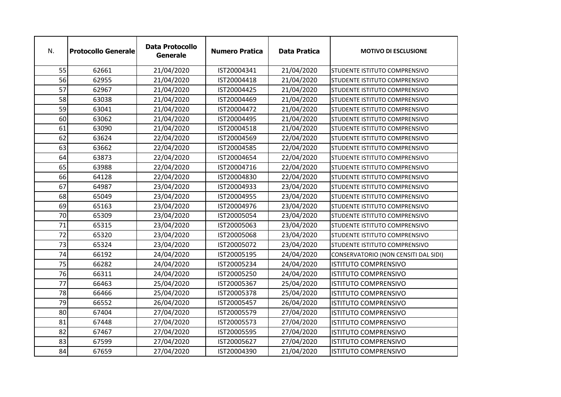| N. | <b>Protocollo Generale</b> | <b>Data Protocollo</b><br><b>Generale</b> | <b>Numero Pratica</b> | <b>Data Pratica</b> | <b>MOTIVO DI ESCLUSIONE</b>          |
|----|----------------------------|-------------------------------------------|-----------------------|---------------------|--------------------------------------|
| 55 | 62661                      | 21/04/2020                                | IST20004341           | 21/04/2020          | <b>STUDENTE ISTITUTO COMPRENSIVO</b> |
| 56 | 62955                      | 21/04/2020                                | IST20004418           | 21/04/2020          | STUDENTE ISTITUTO COMPRENSIVO        |
| 57 | 62967                      | 21/04/2020                                | IST20004425           | 21/04/2020          | <b>STUDENTE ISTITUTO COMPRENSIVO</b> |
| 58 | 63038                      | 21/04/2020                                | IST20004469           | 21/04/2020          | STUDENTE ISTITUTO COMPRENSIVO        |
| 59 | 63041                      | 21/04/2020                                | IST20004472           | 21/04/2020          | STUDENTE ISTITUTO COMPRENSIVO        |
| 60 | 63062                      | 21/04/2020                                | IST20004495           | 21/04/2020          | STUDENTE ISTITUTO COMPRENSIVO        |
| 61 | 63090                      | 21/04/2020                                | IST20004518           | 21/04/2020          | STUDENTE ISTITUTO COMPRENSIVO        |
| 62 | 63624                      | 22/04/2020                                | IST20004569           | 22/04/2020          | STUDENTE ISTITUTO COMPRENSIVO        |
| 63 | 63662                      | 22/04/2020                                | IST20004585           | 22/04/2020          | STUDENTE ISTITUTO COMPRENSIVO        |
| 64 | 63873                      | 22/04/2020                                | IST20004654           | 22/04/2020          | STUDENTE ISTITUTO COMPRENSIVO        |
| 65 | 63988                      | 22/04/2020                                | IST20004716           | 22/04/2020          | STUDENTE ISTITUTO COMPRENSIVO        |
| 66 | 64128                      | 22/04/2020                                | IST20004830           | 22/04/2020          | STUDENTE ISTITUTO COMPRENSIVO        |
| 67 | 64987                      | 23/04/2020                                | IST20004933           | 23/04/2020          | STUDENTE ISTITUTO COMPRENSIVO        |
| 68 | 65049                      | 23/04/2020                                | IST20004955           | 23/04/2020          | STUDENTE ISTITUTO COMPRENSIVO        |
| 69 | 65163                      | 23/04/2020                                | IST20004976           | 23/04/2020          | STUDENTE ISTITUTO COMPRENSIVO        |
| 70 | 65309                      | 23/04/2020                                | IST20005054           | 23/04/2020          | STUDENTE ISTITUTO COMPRENSIVO        |
| 71 | 65315                      | 23/04/2020                                | IST20005063           | 23/04/2020          | STUDENTE ISTITUTO COMPRENSIVO        |
| 72 | 65320                      | 23/04/2020                                | IST20005068           | 23/04/2020          | STUDENTE ISTITUTO COMPRENSIVO        |
| 73 | 65324                      | 23/04/2020                                | IST20005072           | 23/04/2020          | STUDENTE ISTITUTO COMPRENSIVO        |
| 74 | 66192                      | 24/04/2020                                | IST20005195           | 24/04/2020          | CONSERVATORIO (NON CENSITI DAL SIDI) |
| 75 | 66282                      | 24/04/2020                                | IST20005234           | 24/04/2020          | <b>ISTITUTO COMPRENSIVO</b>          |
| 76 | 66311                      | 24/04/2020                                | IST20005250           | 24/04/2020          | <b>ISTITUTO COMPRENSIVO</b>          |
| 77 | 66463                      | 25/04/2020                                | IST20005367           | 25/04/2020          | <b>ISTITUTO COMPRENSIVO</b>          |
| 78 | 66466                      | 25/04/2020                                | IST20005378           | 25/04/2020          | <b>ISTITUTO COMPRENSIVO</b>          |
| 79 | 66552                      | 26/04/2020                                | IST20005457           | 26/04/2020          | <b>ISTITUTO COMPRENSIVO</b>          |
| 80 | 67404                      | 27/04/2020                                | IST20005579           | 27/04/2020          | <b>ISTITUTO COMPRENSIVO</b>          |
| 81 | 67448                      | 27/04/2020                                | IST20005573           | 27/04/2020          | <b>ISTITUTO COMPRENSIVO</b>          |
| 82 | 67467                      | 27/04/2020                                | IST20005595           | 27/04/2020          | <b>ISTITUTO COMPRENSIVO</b>          |
| 83 | 67599                      | 27/04/2020                                | IST20005627           | 27/04/2020          | <b>ISTITUTO COMPRENSIVO</b>          |
| 84 | 67659                      | 27/04/2020                                | IST20004390           | 21/04/2020          | <b>ISTITUTO COMPRENSIVO</b>          |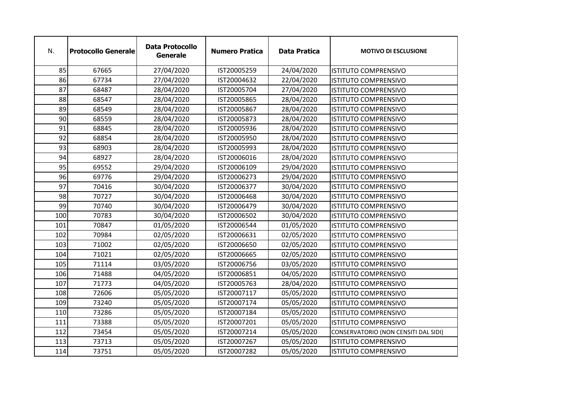| N.  | <b>Protocollo Generale</b> | <b>Data Protocollo</b><br><b>Generale</b> | <b>Numero Pratica</b> | <b>Data Pratica</b> | <b>MOTIVO DI ESCLUSIONE</b>          |
|-----|----------------------------|-------------------------------------------|-----------------------|---------------------|--------------------------------------|
| 85  | 67665                      | 27/04/2020                                | IST20005259           | 24/04/2020          | ISTITUTO COMPRENSIVO                 |
| 86  | 67734                      | 27/04/2020                                | IST20004632           | 22/04/2020          | <b>ISTITUTO COMPRENSIVO</b>          |
| 87  | 68487                      | 28/04/2020                                | IST20005704           | 27/04/2020          | <b>ISTITUTO COMPRENSIVO</b>          |
| 88  | 68547                      | 28/04/2020                                | IST20005865           | 28/04/2020          | <b>ISTITUTO COMPRENSIVO</b>          |
| 89  | 68549                      | 28/04/2020                                | IST20005867           | 28/04/2020          | <b>ISTITUTO COMPRENSIVO</b>          |
| 90  | 68559                      | 28/04/2020                                | IST20005873           | 28/04/2020          | <b>ISTITUTO COMPRENSIVO</b>          |
| 91  | 68845                      | 28/04/2020                                | IST20005936           | 28/04/2020          | <b>ISTITUTO COMPRENSIVO</b>          |
| 92  | 68854                      | 28/04/2020                                | IST20005950           | 28/04/2020          | <b>ISTITUTO COMPRENSIVO</b>          |
| 93  | 68903                      | 28/04/2020                                | IST20005993           | 28/04/2020          | <b>ISTITUTO COMPRENSIVO</b>          |
| 94  | 68927                      | 28/04/2020                                | IST20006016           | 28/04/2020          | <b>ISTITUTO COMPRENSIVO</b>          |
| 95  | 69552                      | 29/04/2020                                | IST20006109           | 29/04/2020          | <b>ISTITUTO COMPRENSIVO</b>          |
| 96  | 69776                      | 29/04/2020                                | IST20006273           | 29/04/2020          | <b>ISTITUTO COMPRENSIVO</b>          |
| 97  | 70416                      | 30/04/2020                                | IST20006377           | 30/04/2020          | <b>ISTITUTO COMPRENSIVO</b>          |
| 98  | 70727                      | 30/04/2020                                | IST20006468           | 30/04/2020          | ISTITUTO COMPRENSIVO                 |
| 99  | 70740                      | 30/04/2020                                | IST20006479           | 30/04/2020          | <b>ISTITUTO COMPRENSIVO</b>          |
| 100 | 70783                      | 30/04/2020                                | IST20006502           | 30/04/2020          | <b>ISTITUTO COMPRENSIVO</b>          |
| 101 | 70847                      | 01/05/2020                                | IST20006544           | 01/05/2020          | <b>ISTITUTO COMPRENSIVO</b>          |
| 102 | 70984                      | 02/05/2020                                | IST20006631           | 02/05/2020          | <b>ISTITUTO COMPRENSIVO</b>          |
| 103 | 71002                      | 02/05/2020                                | IST20006650           | 02/05/2020          | <b>ISTITUTO COMPRENSIVO</b>          |
| 104 | 71021                      | 02/05/2020                                | IST20006665           | 02/05/2020          | <b>ISTITUTO COMPRENSIVO</b>          |
| 105 | 71114                      | 03/05/2020                                | IST20006756           | 03/05/2020          | <b>ISTITUTO COMPRENSIVO</b>          |
| 106 | 71488                      | 04/05/2020                                | IST20006851           | 04/05/2020          | <b>ISTITUTO COMPRENSIVO</b>          |
| 107 | 71773                      | 04/05/2020                                | IST20005763           | 28/04/2020          | <b>ISTITUTO COMPRENSIVO</b>          |
| 108 | 72606                      | 05/05/2020                                | IST20007117           | 05/05/2020          | <b>ISTITUTO COMPRENSIVO</b>          |
| 109 | 73240                      | 05/05/2020                                | IST20007174           | 05/05/2020          | <b>ISTITUTO COMPRENSIVO</b>          |
| 110 | 73286                      | 05/05/2020                                | IST20007184           | 05/05/2020          | <b>ISTITUTO COMPRENSIVO</b>          |
| 111 | 73388                      | 05/05/2020                                | IST20007201           | 05/05/2020          | <b>ISTITUTO COMPRENSIVO</b>          |
| 112 | 73454                      | 05/05/2020                                | IST20007214           | 05/05/2020          | CONSERVATORIO (NON CENSITI DAL SIDI) |
| 113 | 73713                      | 05/05/2020                                | IST20007267           | 05/05/2020          | <b>ISTITUTO COMPRENSIVO</b>          |
| 114 | 73751                      | 05/05/2020                                | IST20007282           | 05/05/2020          | <b>ISTITUTO COMPRENSIVO</b>          |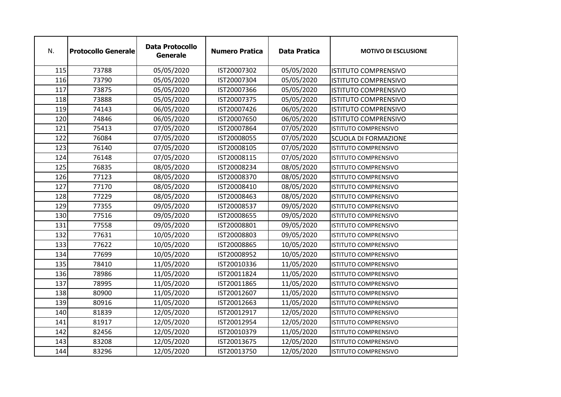| N.  | <b>Protocollo Generale</b> | <b>Data Protocollo</b><br><b>Generale</b> | <b>Numero Pratica</b> | <b>Data Pratica</b> | <b>MOTIVO DI ESCLUSIONE</b> |
|-----|----------------------------|-------------------------------------------|-----------------------|---------------------|-----------------------------|
| 115 | 73788                      | 05/05/2020                                | IST20007302           | 05/05/2020          | <b>ISTITUTO COMPRENSIVO</b> |
| 116 | 73790                      | 05/05/2020                                | IST20007304           | 05/05/2020          | <b>ISTITUTO COMPRENSIVO</b> |
| 117 | 73875                      | 05/05/2020                                | IST20007366           | 05/05/2020          | <b>ISTITUTO COMPRENSIVO</b> |
| 118 | 73888                      | 05/05/2020                                | IST20007375           | 05/05/2020          | <b>ISTITUTO COMPRENSIVO</b> |
| 119 | 74143                      | 06/05/2020                                | IST20007426           | 06/05/2020          | <b>ISTITUTO COMPRENSIVO</b> |
| 120 | 74846                      | 06/05/2020                                | IST20007650           | 06/05/2020          | <b>ISTITUTO COMPRENSIVO</b> |
| 121 | 75413                      | 07/05/2020                                | IST20007864           | 07/05/2020          | <b>ISTITUTO COMPRENSIVO</b> |
| 122 | 76084                      | 07/05/2020                                | IST20008055           | 07/05/2020          | <b>SCUOLA DI FORMAZIONE</b> |
| 123 | 76140                      | 07/05/2020                                | IST20008105           | 07/05/2020          | <b>ISTITUTO COMPRENSIVO</b> |
| 124 | 76148                      | 07/05/2020                                | IST20008115           | 07/05/2020          | <b>ISTITUTO COMPRENSIVO</b> |
| 125 | 76835                      | 08/05/2020                                | IST20008234           | 08/05/2020          | <b>ISTITUTO COMPRENSIVO</b> |
| 126 | 77123                      | 08/05/2020                                | IST20008370           | 08/05/2020          | ISTITUTO COMPRENSIVO        |
| 127 | 77170                      | 08/05/2020                                | IST20008410           | 08/05/2020          | <b>ISTITUTO COMPRENSIVO</b> |
| 128 | 77229                      | 08/05/2020                                | IST20008463           | 08/05/2020          | <b>ISTITUTO COMPRENSIVO</b> |
| 129 | 77355                      | 09/05/2020                                | IST20008537           | 09/05/2020          | <b>ISTITUTO COMPRENSIVO</b> |
| 130 | 77516                      | 09/05/2020                                | IST20008655           | 09/05/2020          | <b>ISTITUTO COMPRENSIVO</b> |
| 131 | 77558                      | 09/05/2020                                | IST20008801           | 09/05/2020          | <b>ISTITUTO COMPRENSIVO</b> |
| 132 | 77631                      | 10/05/2020                                | IST20008803           | 09/05/2020          | <b>ISTITUTO COMPRENSIVO</b> |
| 133 | 77622                      | 10/05/2020                                | IST20008865           | 10/05/2020          | <b>ISTITUTO COMPRENSIVO</b> |
| 134 | 77699                      | 10/05/2020                                | IST20008952           | 10/05/2020          | <b>ISTITUTO COMPRENSIVO</b> |
| 135 | 78410                      | 11/05/2020                                | IST20010336           | 11/05/2020          | <b>ISTITUTO COMPRENSIVO</b> |
| 136 | 78986                      | 11/05/2020                                | IST20011824           | 11/05/2020          | <b>ISTITUTO COMPRENSIVO</b> |
| 137 | 78995                      | 11/05/2020                                | IST20011865           | 11/05/2020          | <b>ISTITUTO COMPRENSIVO</b> |
| 138 | 80900                      | 11/05/2020                                | IST20012607           | 11/05/2020          | <b>ISTITUTO COMPRENSIVO</b> |
| 139 | 80916                      | 11/05/2020                                | IST20012663           | 11/05/2020          | <b>ISTITUTO COMPRENSIVO</b> |
| 140 | 81839                      | 12/05/2020                                | IST20012917           | 12/05/2020          | <b>ISTITUTO COMPRENSIVO</b> |
| 141 | 81917                      | 12/05/2020                                | IST20012954           | 12/05/2020          | <b>ISTITUTO COMPRENSIVO</b> |
| 142 | 82456                      | 12/05/2020                                | IST20010379           | 11/05/2020          | <b>ISTITUTO COMPRENSIVO</b> |
| 143 | 83208                      | 12/05/2020                                | IST20013675           | 12/05/2020          | <b>ISTITUTO COMPRENSIVO</b> |
| 144 | 83296                      | 12/05/2020                                | IST20013750           | 12/05/2020          | <b>ISTITUTO COMPRENSIVO</b> |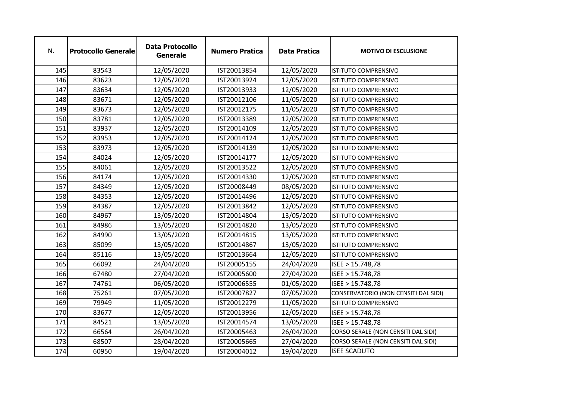| N.  | <b>Protocollo Generale</b> | <b>Data Protocollo</b><br><b>Generale</b> | <b>Numero Pratica</b> | <b>Data Pratica</b> | <b>MOTIVO DI ESCLUSIONE</b>          |
|-----|----------------------------|-------------------------------------------|-----------------------|---------------------|--------------------------------------|
| 145 | 83543                      | 12/05/2020                                | IST20013854           | 12/05/2020          | <b>ISTITUTO COMPRENSIVO</b>          |
| 146 | 83623                      | 12/05/2020                                | IST20013924           | 12/05/2020          | <b>ISTITUTO COMPRENSIVO</b>          |
| 147 | 83634                      | 12/05/2020                                | IST20013933           | 12/05/2020          | <b>ISTITUTO COMPRENSIVO</b>          |
| 148 | 83671                      | 12/05/2020                                | IST20012106           | 11/05/2020          | <b>ISTITUTO COMPRENSIVO</b>          |
| 149 | 83673                      | 12/05/2020                                | IST20012175           | 11/05/2020          | <b>ISTITUTO COMPRENSIVO</b>          |
| 150 | 83781                      | 12/05/2020                                | IST20013389           | 12/05/2020          | <b>ISTITUTO COMPRENSIVO</b>          |
| 151 | 83937                      | 12/05/2020                                | IST20014109           | 12/05/2020          | <b>ISTITUTO COMPRENSIVO</b>          |
| 152 | 83953                      | 12/05/2020                                | IST20014124           | 12/05/2020          | <b>ISTITUTO COMPRENSIVO</b>          |
| 153 | 83973                      | 12/05/2020                                | IST20014139           | 12/05/2020          | ISTITUTO COMPRENSIVO                 |
| 154 | 84024                      | 12/05/2020                                | IST20014177           | 12/05/2020          | <b>ISTITUTO COMPRENSIVO</b>          |
| 155 | 84061                      | 12/05/2020                                | IST20013522           | 12/05/2020          | <b>ISTITUTO COMPRENSIVO</b>          |
| 156 | 84174                      | 12/05/2020                                | IST20014330           | 12/05/2020          | ISTITUTO COMPRENSIVO                 |
| 157 | 84349                      | 12/05/2020                                | IST20008449           | 08/05/2020          | <b>ISTITUTO COMPRENSIVO</b>          |
| 158 | 84353                      | 12/05/2020                                | IST20014496           | 12/05/2020          | <b>ISTITUTO COMPRENSIVO</b>          |
| 159 | 84387                      | 12/05/2020                                | IST20013842           | 12/05/2020          | <b>ISTITUTO COMPRENSIVO</b>          |
| 160 | 84967                      | 13/05/2020                                | IST20014804           | 13/05/2020          | <b>ISTITUTO COMPRENSIVO</b>          |
| 161 | 84986                      | 13/05/2020                                | IST20014820           | 13/05/2020          | <b>ISTITUTO COMPRENSIVO</b>          |
| 162 | 84990                      | 13/05/2020                                | IST20014815           | 13/05/2020          | <b>ISTITUTO COMPRENSIVO</b>          |
| 163 | 85099                      | 13/05/2020                                | IST20014867           | 13/05/2020          | <b>ISTITUTO COMPRENSIVO</b>          |
| 164 | 85116                      | 13/05/2020                                | IST20013664           | 12/05/2020          | <b>ISTITUTO COMPRENSIVO</b>          |
| 165 | 66092                      | 24/04/2020                                | IST20005155           | 24/04/2020          | ISEE > 15.748,78                     |
| 166 | 67480                      | 27/04/2020                                | IST20005600           | 27/04/2020          | ISEE > 15.748,78                     |
| 167 | 74761                      | 06/05/2020                                | IST20006555           | 01/05/2020          | ISEE > 15.748,78                     |
| 168 | 75261                      | 07/05/2020                                | IST20007827           | 07/05/2020          | CONSERVATORIO (NON CENSITI DAL SIDI) |
| 169 | 79949                      | 11/05/2020                                | IST20012279           | 11/05/2020          | <b>ISTITUTO COMPRENSIVO</b>          |
| 170 | 83677                      | 12/05/2020                                | IST20013956           | 12/05/2020          | ISEE > 15.748,78                     |
| 171 | 84521                      | 13/05/2020                                | IST20014574           | 13/05/2020          | ISEE > 15.748,78                     |
| 172 | 66564                      | 26/04/2020                                | IST20005463           | 26/04/2020          | CORSO SERALE (NON CENSITI DAL SIDI)  |
| 173 | 68507                      | 28/04/2020                                | IST20005665           | 27/04/2020          | CORSO SERALE (NON CENSITI DAL SIDI)  |
| 174 | 60950                      | 19/04/2020                                | IST20004012           | 19/04/2020          | <b>ISEE SCADUTO</b>                  |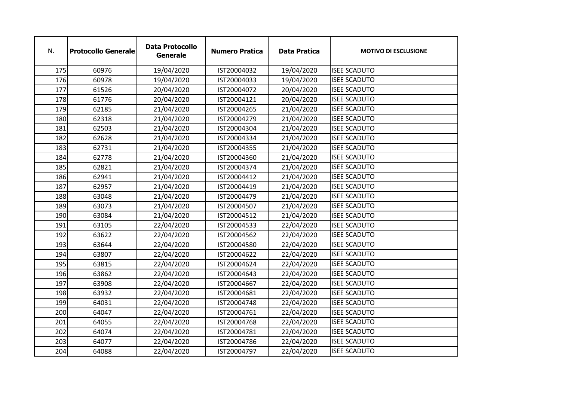| N.  | <b>Protocollo Generale</b> | <b>Data Protocollo</b><br><b>Generale</b> | <b>Numero Pratica</b> | <b>Data Pratica</b> | <b>MOTIVO DI ESCLUSIONE</b> |
|-----|----------------------------|-------------------------------------------|-----------------------|---------------------|-----------------------------|
| 175 | 60976                      | 19/04/2020                                | IST20004032           | 19/04/2020          | <b>ISEE SCADUTO</b>         |
| 176 | 60978                      | 19/04/2020                                | IST20004033           | 19/04/2020          | <b>ISEE SCADUTO</b>         |
| 177 | 61526                      | 20/04/2020                                | IST20004072           | 20/04/2020          | <b>ISEE SCADUTO</b>         |
| 178 | 61776                      | 20/04/2020                                | IST20004121           | 20/04/2020          | <b>ISEE SCADUTO</b>         |
| 179 | 62185                      | 21/04/2020                                | IST20004265           | 21/04/2020          | <b>ISEE SCADUTO</b>         |
| 180 | 62318                      | 21/04/2020                                | IST20004279           | 21/04/2020          | <b>ISEE SCADUTO</b>         |
| 181 | 62503                      | 21/04/2020                                | IST20004304           | 21/04/2020          | <b>ISEE SCADUTO</b>         |
| 182 | 62628                      | 21/04/2020                                | IST20004334           | 21/04/2020          | <b>ISEE SCADUTO</b>         |
| 183 | 62731                      | 21/04/2020                                | IST20004355           | 21/04/2020          | <b>ISEE SCADUTO</b>         |
| 184 | 62778                      | 21/04/2020                                | IST20004360           | 21/04/2020          | <b>ISEE SCADUTO</b>         |
| 185 | 62821                      | 21/04/2020                                | IST20004374           | 21/04/2020          | <b>ISEE SCADUTO</b>         |
| 186 | 62941                      | 21/04/2020                                | IST20004412           | 21/04/2020          | <b>ISEE SCADUTO</b>         |
| 187 | 62957                      | 21/04/2020                                | IST20004419           | 21/04/2020          | <b>ISEE SCADUTO</b>         |
| 188 | 63048                      | 21/04/2020                                | IST20004479           | 21/04/2020          | <b>ISEE SCADUTO</b>         |
| 189 | 63073                      | 21/04/2020                                | IST20004507           | 21/04/2020          | <b>ISEE SCADUTO</b>         |
| 190 | 63084                      | 21/04/2020                                | IST20004512           | 21/04/2020          | <b>ISEE SCADUTO</b>         |
| 191 | 63105                      | 22/04/2020                                | IST20004533           | 22/04/2020          | <b>ISEE SCADUTO</b>         |
| 192 | 63622                      | 22/04/2020                                | IST20004562           | 22/04/2020          | <b>ISEE SCADUTO</b>         |
| 193 | 63644                      | 22/04/2020                                | IST20004580           | 22/04/2020          | <b>ISEE SCADUTO</b>         |
| 194 | 63807                      | 22/04/2020                                | IST20004622           | 22/04/2020          | <b>ISEE SCADUTO</b>         |
| 195 | 63815                      | 22/04/2020                                | IST20004624           | 22/04/2020          | <b>ISEE SCADUTO</b>         |
| 196 | 63862                      | 22/04/2020                                | IST20004643           | 22/04/2020          | <b>ISEE SCADUTO</b>         |
| 197 | 63908                      | 22/04/2020                                | IST20004667           | 22/04/2020          | <b>ISEE SCADUTO</b>         |
| 198 | 63932                      | 22/04/2020                                | IST20004681           | 22/04/2020          | <b>ISEE SCADUTO</b>         |
| 199 | 64031                      | 22/04/2020                                | IST20004748           | 22/04/2020          | <b>ISEE SCADUTO</b>         |
| 200 | 64047                      | 22/04/2020                                | IST20004761           | 22/04/2020          | <b>ISEE SCADUTO</b>         |
| 201 | 64055                      | 22/04/2020                                | IST20004768           | 22/04/2020          | <b>ISEE SCADUTO</b>         |
| 202 | 64074                      | 22/04/2020                                | IST20004781           | 22/04/2020          | <b>ISEE SCADUTO</b>         |
| 203 | 64077                      | 22/04/2020                                | IST20004786           | 22/04/2020          | <b>ISEE SCADUTO</b>         |
| 204 | 64088                      | 22/04/2020                                | IST20004797           | 22/04/2020          | <b>ISEE SCADUTO</b>         |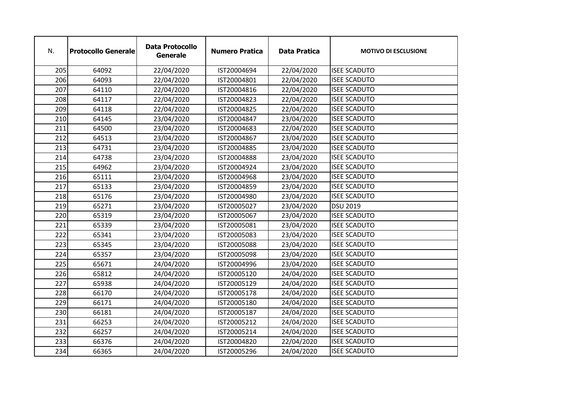| N.  | <b>Protocollo Generale</b> | <b>Data Protocollo</b><br><b>Generale</b> | <b>Numero Pratica</b> | <b>Data Pratica</b> | <b>MOTIVO DI ESCLUSIONE</b> |
|-----|----------------------------|-------------------------------------------|-----------------------|---------------------|-----------------------------|
| 205 | 64092                      | 22/04/2020                                | IST20004694           | 22/04/2020          | <b>ISEE SCADUTO</b>         |
| 206 | 64093                      | 22/04/2020                                | IST20004801           | 22/04/2020          | <b>ISEE SCADUTO</b>         |
| 207 | 64110                      | 22/04/2020                                | IST20004816           | 22/04/2020          | <b>ISEE SCADUTO</b>         |
| 208 | 64117                      | 22/04/2020                                | IST20004823           | 22/04/2020          | <b>ISEE SCADUTO</b>         |
| 209 | 64118                      | 22/04/2020                                | IST20004825           | 22/04/2020          | <b>ISEE SCADUTO</b>         |
| 210 | 64145                      | 23/04/2020                                | IST20004847           | 23/04/2020          | <b>ISEE SCADUTO</b>         |
| 211 | 64500                      | 23/04/2020                                | IST20004683           | 22/04/2020          | <b>ISEE SCADUTO</b>         |
| 212 | 64513                      | 23/04/2020                                | IST20004867           | 23/04/2020          | <b>ISEE SCADUTO</b>         |
| 213 | 64731                      | 23/04/2020                                | IST20004885           | 23/04/2020          | <b>ISEE SCADUTO</b>         |
| 214 | 64738                      | 23/04/2020                                | IST20004888           | 23/04/2020          | <b>ISEE SCADUTO</b>         |
| 215 | 64962                      | 23/04/2020                                | IST20004924           | 23/04/2020          | <b>ISEE SCADUTO</b>         |
| 216 | 65111                      | 23/04/2020                                | IST20004968           | 23/04/2020          | <b>ISEE SCADUTO</b>         |
| 217 | 65133                      | 23/04/2020                                | IST20004859           | 23/04/2020          | <b>ISEE SCADUTO</b>         |
| 218 | 65176                      | 23/04/2020                                | IST20004980           | 23/04/2020          | <b>ISEE SCADUTO</b>         |
| 219 | 65271                      | 23/04/2020                                | IST20005027           | 23/04/2020          | <b>DSU 2019</b>             |
| 220 | 65319                      | 23/04/2020                                | IST20005067           | 23/04/2020          | <b>ISEE SCADUTO</b>         |
| 221 | 65339                      | 23/04/2020                                | IST20005081           | 23/04/2020          | <b>ISEE SCADUTO</b>         |
| 222 | 65341                      | 23/04/2020                                | IST20005083           | 23/04/2020          | <b>ISEE SCADUTO</b>         |
| 223 | 65345                      | 23/04/2020                                | IST20005088           | 23/04/2020          | <b>ISEE SCADUTO</b>         |
| 224 | 65357                      | 23/04/2020                                | IST20005098           | 23/04/2020          | <b>ISEE SCADUTO</b>         |
| 225 | 65671                      | 24/04/2020                                | IST20004996           | 23/04/2020          | <b>ISEE SCADUTO</b>         |
| 226 | 65812                      | 24/04/2020                                | IST20005120           | 24/04/2020          | <b>ISEE SCADUTO</b>         |
| 227 | 65938                      | 24/04/2020                                | IST20005129           | 24/04/2020          | <b>ISEE SCADUTO</b>         |
| 228 | 66170                      | 24/04/2020                                | IST20005178           | 24/04/2020          | <b>ISEE SCADUTO</b>         |
| 229 | 66171                      | 24/04/2020                                | IST20005180           | 24/04/2020          | <b>ISEE SCADUTO</b>         |
| 230 | 66181                      | 24/04/2020                                | IST20005187           | 24/04/2020          | <b>ISEE SCADUTO</b>         |
| 231 | 66253                      | 24/04/2020                                | IST20005212           | 24/04/2020          | <b>ISEE SCADUTO</b>         |
| 232 | 66257                      | 24/04/2020                                | IST20005214           | 24/04/2020          | <b>ISEE SCADUTO</b>         |
| 233 | 66376                      | 24/04/2020                                | IST20004820           | 22/04/2020          | <b>ISEE SCADUTO</b>         |
| 234 | 66365                      | 24/04/2020                                | IST20005296           | 24/04/2020          | <b>ISEE SCADUTO</b>         |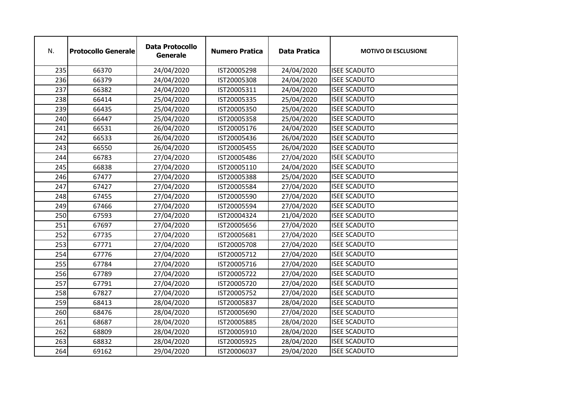| N.  | <b>Protocollo Generale</b> | <b>Data Protocollo</b><br><b>Generale</b> | <b>Numero Pratica</b> | <b>Data Pratica</b> | <b>MOTIVO DI ESCLUSIONE</b> |
|-----|----------------------------|-------------------------------------------|-----------------------|---------------------|-----------------------------|
| 235 | 66370                      | 24/04/2020                                | IST20005298           | 24/04/2020          | <b>ISEE SCADUTO</b>         |
| 236 | 66379                      | 24/04/2020                                | IST20005308           | 24/04/2020          | <b>ISEE SCADUTO</b>         |
| 237 | 66382                      | 24/04/2020                                | IST20005311           | 24/04/2020          | <b>ISEE SCADUTO</b>         |
| 238 | 66414                      | 25/04/2020                                | IST20005335           | 25/04/2020          | <b>ISEE SCADUTO</b>         |
| 239 | 66435                      | 25/04/2020                                | IST20005350           | 25/04/2020          | <b>ISEE SCADUTO</b>         |
| 240 | 66447                      | 25/04/2020                                | IST20005358           | 25/04/2020          | <b>ISEE SCADUTO</b>         |
| 241 | 66531                      | 26/04/2020                                | IST20005176           | 24/04/2020          | <b>ISEE SCADUTO</b>         |
| 242 | 66533                      | 26/04/2020                                | IST20005436           | 26/04/2020          | <b>ISEE SCADUTO</b>         |
| 243 | 66550                      | 26/04/2020                                | IST20005455           | 26/04/2020          | <b>ISEE SCADUTO</b>         |
| 244 | 66783                      | 27/04/2020                                | IST20005486           | 27/04/2020          | <b>ISEE SCADUTO</b>         |
| 245 | 66838                      | 27/04/2020                                | IST20005110           | 24/04/2020          | <b>ISEE SCADUTO</b>         |
| 246 | 67477                      | 27/04/2020                                | IST20005388           | 25/04/2020          | <b>ISEE SCADUTO</b>         |
| 247 | 67427                      | 27/04/2020                                | IST20005584           | 27/04/2020          | <b>ISEE SCADUTO</b>         |
| 248 | 67455                      | 27/04/2020                                | IST20005590           | 27/04/2020          | <b>ISEE SCADUTO</b>         |
| 249 | 67466                      | 27/04/2020                                | IST20005594           | 27/04/2020          | <b>ISEE SCADUTO</b>         |
| 250 | 67593                      | 27/04/2020                                | IST20004324           | 21/04/2020          | <b>ISEE SCADUTO</b>         |
| 251 | 67697                      | 27/04/2020                                | IST20005656           | 27/04/2020          | <b>ISEE SCADUTO</b>         |
| 252 | 67735                      | 27/04/2020                                | IST20005681           | 27/04/2020          | <b>ISEE SCADUTO</b>         |
| 253 | 67771                      | 27/04/2020                                | IST20005708           | 27/04/2020          | <b>ISEE SCADUTO</b>         |
| 254 | 67776                      | 27/04/2020                                | IST20005712           | 27/04/2020          | <b>ISEE SCADUTO</b>         |
| 255 | 67784                      | 27/04/2020                                | IST20005716           | 27/04/2020          | <b>ISEE SCADUTO</b>         |
| 256 | 67789                      | 27/04/2020                                | IST20005722           | 27/04/2020          | <b>ISEE SCADUTO</b>         |
| 257 | 67791                      | 27/04/2020                                | IST20005720           | 27/04/2020          | <b>ISEE SCADUTO</b>         |
| 258 | 67827                      | 27/04/2020                                | IST20005752           | 27/04/2020          | <b>ISEE SCADUTO</b>         |
| 259 | 68413                      | 28/04/2020                                | IST20005837           | 28/04/2020          | <b>ISEE SCADUTO</b>         |
| 260 | 68476                      | 28/04/2020                                | IST20005690           | 27/04/2020          | <b>ISEE SCADUTO</b>         |
| 261 | 68687                      | 28/04/2020                                | IST20005885           | 28/04/2020          | <b>ISEE SCADUTO</b>         |
| 262 | 68809                      | 28/04/2020                                | IST20005910           | 28/04/2020          | <b>ISEE SCADUTO</b>         |
| 263 | 68832                      | 28/04/2020                                | IST20005925           | 28/04/2020          | <b>ISEE SCADUTO</b>         |
| 264 | 69162                      | 29/04/2020                                | IST20006037           | 29/04/2020          | <b>ISEE SCADUTO</b>         |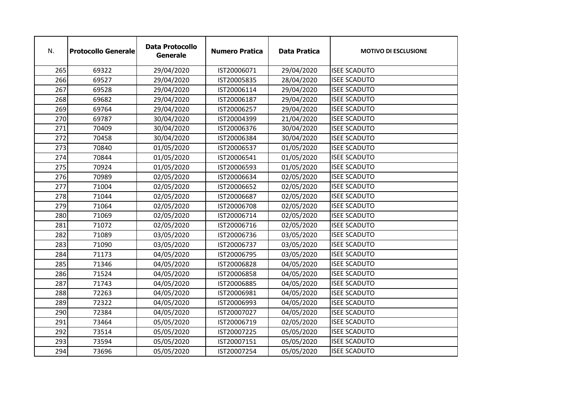| N.  | <b>Protocollo Generale</b> | <b>Data Protocollo</b><br><b>Generale</b> | <b>Numero Pratica</b> | <b>Data Pratica</b> | <b>MOTIVO DI ESCLUSIONE</b> |
|-----|----------------------------|-------------------------------------------|-----------------------|---------------------|-----------------------------|
| 265 | 69322                      | 29/04/2020                                | IST20006071           | 29/04/2020          | <b>ISEE SCADUTO</b>         |
| 266 | 69527                      | 29/04/2020                                | IST20005835           | 28/04/2020          | <b>ISEE SCADUTO</b>         |
| 267 | 69528                      | 29/04/2020                                | IST20006114           | 29/04/2020          | <b>ISEE SCADUTO</b>         |
| 268 | 69682                      | 29/04/2020                                | IST20006187           | 29/04/2020          | <b>ISEE SCADUTO</b>         |
| 269 | 69764                      | 29/04/2020                                | IST20006257           | 29/04/2020          | <b>ISEE SCADUTO</b>         |
| 270 | 69787                      | 30/04/2020                                | IST20004399           | 21/04/2020          | <b>ISEE SCADUTO</b>         |
| 271 | 70409                      | 30/04/2020                                | IST20006376           | 30/04/2020          | <b>ISEE SCADUTO</b>         |
| 272 | 70458                      | 30/04/2020                                | IST20006384           | 30/04/2020          | <b>ISEE SCADUTO</b>         |
| 273 | 70840                      | 01/05/2020                                | IST20006537           | 01/05/2020          | <b>ISEE SCADUTO</b>         |
| 274 | 70844                      | 01/05/2020                                | IST20006541           | 01/05/2020          | <b>ISEE SCADUTO</b>         |
| 275 | 70924                      | 01/05/2020                                | IST20006593           | 01/05/2020          | <b>ISEE SCADUTO</b>         |
| 276 | 70989                      | 02/05/2020                                | IST20006634           | 02/05/2020          | <b>ISEE SCADUTO</b>         |
| 277 | 71004                      | 02/05/2020                                | IST20006652           | 02/05/2020          | <b>ISEE SCADUTO</b>         |
| 278 | 71044                      | 02/05/2020                                | IST20006687           | 02/05/2020          | <b>ISEE SCADUTO</b>         |
| 279 | 71064                      | 02/05/2020                                | IST20006708           | 02/05/2020          | <b>ISEE SCADUTO</b>         |
| 280 | 71069                      | 02/05/2020                                | IST20006714           | 02/05/2020          | <b>ISEE SCADUTO</b>         |
| 281 | 71072                      | 02/05/2020                                | IST20006716           | 02/05/2020          | <b>ISEE SCADUTO</b>         |
| 282 | 71089                      | 03/05/2020                                | IST20006736           | 03/05/2020          | <b>ISEE SCADUTO</b>         |
| 283 | 71090                      | 03/05/2020                                | IST20006737           | 03/05/2020          | <b>ISEE SCADUTO</b>         |
| 284 | 71173                      | 04/05/2020                                | IST20006795           | 03/05/2020          | <b>ISEE SCADUTO</b>         |
| 285 | 71346                      | 04/05/2020                                | IST20006828           | 04/05/2020          | <b>ISEE SCADUTO</b>         |
| 286 | 71524                      | 04/05/2020                                | IST20006858           | 04/05/2020          | <b>ISEE SCADUTO</b>         |
| 287 | 71743                      | 04/05/2020                                | IST20006885           | 04/05/2020          | <b>ISEE SCADUTO</b>         |
| 288 | 72263                      | 04/05/2020                                | IST20006981           | 04/05/2020          | <b>ISEE SCADUTO</b>         |
| 289 | 72322                      | 04/05/2020                                | IST20006993           | 04/05/2020          | <b>ISEE SCADUTO</b>         |
| 290 | 72384                      | 04/05/2020                                | IST20007027           | 04/05/2020          | <b>ISEE SCADUTO</b>         |
| 291 | 73464                      | 05/05/2020                                | IST20006719           | 02/05/2020          | <b>ISEE SCADUTO</b>         |
| 292 | 73514                      | 05/05/2020                                | IST20007225           | 05/05/2020          | <b>ISEE SCADUTO</b>         |
| 293 | 73594                      | 05/05/2020                                | IST20007151           | 05/05/2020          | <b>ISEE SCADUTO</b>         |
| 294 | 73696                      | 05/05/2020                                | IST20007254           | 05/05/2020          | <b>ISEE SCADUTO</b>         |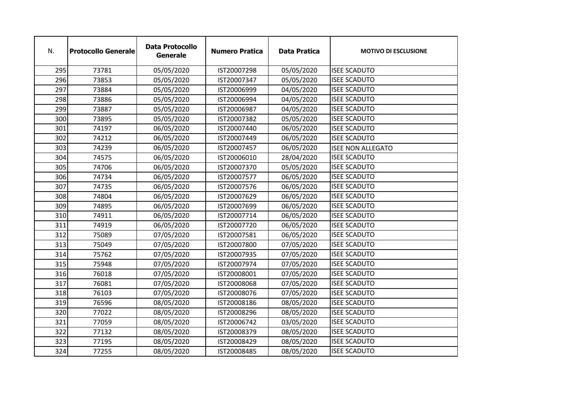| N.  | <b>Protocollo Generale</b> | <b>Data Protocollo</b><br><b>Generale</b> | <b>Numero Pratica</b> | <b>Data Pratica</b> | <b>MOTIVO DI ESCLUSIONE</b> |
|-----|----------------------------|-------------------------------------------|-----------------------|---------------------|-----------------------------|
| 295 | 73781                      | 05/05/2020                                | IST20007298           | 05/05/2020          | <b>ISEE SCADUTO</b>         |
| 296 | 73853                      | 05/05/2020                                | IST20007347           | 05/05/2020          | <b>ISEE SCADUTO</b>         |
| 297 | 73884                      | 05/05/2020                                | IST20006999           | 04/05/2020          | <b>ISEE SCADUTO</b>         |
| 298 | 73886                      | 05/05/2020                                | IST20006994           | 04/05/2020          | <b>ISEE SCADUTO</b>         |
| 299 | 73887                      | 05/05/2020                                | IST20006987           | 04/05/2020          | <b>ISEE SCADUTO</b>         |
| 300 | 73895                      | 05/05/2020                                | IST20007382           | 05/05/2020          | <b>ISEE SCADUTO</b>         |
| 301 | 74197                      | 06/05/2020                                | IST20007440           | 06/05/2020          | <b>ISEE SCADUTO</b>         |
| 302 | 74212                      | 06/05/2020                                | IST20007449           | 06/05/2020          | <b>ISEE SCADUTO</b>         |
| 303 | 74239                      | 06/05/2020                                | IST20007457           | 06/05/2020          | <b>ISEE NON ALLEGATO</b>    |
| 304 | 74575                      | 06/05/2020                                | IST20006010           | 28/04/2020          | <b>ISEE SCADUTO</b>         |
| 305 | 74706                      | 06/05/2020                                | IST20007370           | 05/05/2020          | <b>ISEE SCADUTO</b>         |
| 306 | 74734                      | 06/05/2020                                | IST20007577           | 06/05/2020          | <b>ISEE SCADUTO</b>         |
| 307 | 74735                      | 06/05/2020                                | IST20007576           | 06/05/2020          | <b>ISEE SCADUTO</b>         |
| 308 | 74804                      | 06/05/2020                                | IST20007629           | 06/05/2020          | <b>ISEE SCADUTO</b>         |
| 309 | 74895                      | 06/05/2020                                | IST20007699           | 06/05/2020          | <b>ISEE SCADUTO</b>         |
| 310 | 74911                      | 06/05/2020                                | IST20007714           | 06/05/2020          | <b>ISEE SCADUTO</b>         |
| 311 | 74919                      | 06/05/2020                                | IST20007720           | 06/05/2020          | <b>ISEE SCADUTO</b>         |
| 312 | 75089                      | 07/05/2020                                | IST20007581           | 06/05/2020          | <b>ISEE SCADUTO</b>         |
| 313 | 75049                      | 07/05/2020                                | IST20007800           | 07/05/2020          | <b>ISEE SCADUTO</b>         |
| 314 | 75762                      | 07/05/2020                                | IST20007935           | 07/05/2020          | <b>ISEE SCADUTO</b>         |
| 315 | 75948                      | 07/05/2020                                | IST20007974           | 07/05/2020          | <b>ISEE SCADUTO</b>         |
| 316 | 76018                      | 07/05/2020                                | IST20008001           | 07/05/2020          | <b>ISEE SCADUTO</b>         |
| 317 | 76081                      | 07/05/2020                                | IST20008068           | 07/05/2020          | <b>ISEE SCADUTO</b>         |
| 318 | 76103                      | 07/05/2020                                | IST20008076           | 07/05/2020          | <b>ISEE SCADUTO</b>         |
| 319 | 76596                      | 08/05/2020                                | IST20008186           | 08/05/2020          | <b>ISEE SCADUTO</b>         |
| 320 | 77022                      | 08/05/2020                                | IST20008296           | 08/05/2020          | <b>ISEE SCADUTO</b>         |
| 321 | 77059                      | 08/05/2020                                | IST20006742           | 03/05/2020          | <b>ISEE SCADUTO</b>         |
| 322 | 77132                      | 08/05/2020                                | IST20008379           | 08/05/2020          | <b>ISEE SCADUTO</b>         |
| 323 | 77195                      | 08/05/2020                                | IST20008429           | 08/05/2020          | <b>ISEE SCADUTO</b>         |
| 324 | 77255                      | 08/05/2020                                | IST20008485           | 08/05/2020          | <b>ISEE SCADUTO</b>         |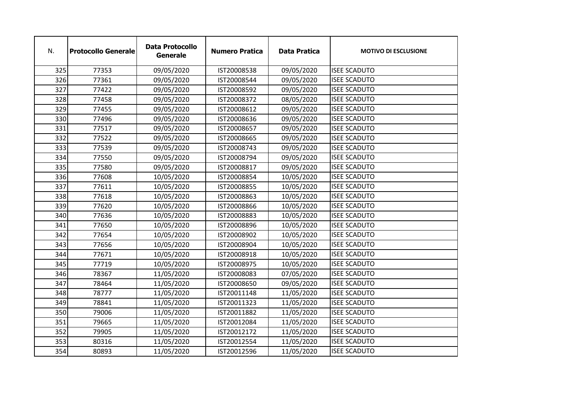| N.  | <b>Protocollo Generale</b> | <b>Data Protocollo</b><br><b>Generale</b> | <b>Numero Pratica</b> | <b>Data Pratica</b> | <b>MOTIVO DI ESCLUSIONE</b> |
|-----|----------------------------|-------------------------------------------|-----------------------|---------------------|-----------------------------|
| 325 | 77353                      | 09/05/2020                                | IST20008538           | 09/05/2020          | <b>ISEE SCADUTO</b>         |
| 326 | 77361                      | 09/05/2020                                | IST20008544           | 09/05/2020          | <b>ISEE SCADUTO</b>         |
| 327 | 77422                      | 09/05/2020                                | IST20008592           | 09/05/2020          | <b>ISEE SCADUTO</b>         |
| 328 | 77458                      | 09/05/2020                                | IST20008372           | 08/05/2020          | <b>ISEE SCADUTO</b>         |
| 329 | 77455                      | 09/05/2020                                | IST20008612           | 09/05/2020          | <b>ISEE SCADUTO</b>         |
| 330 | 77496                      | 09/05/2020                                | IST20008636           | 09/05/2020          | <b>ISEE SCADUTO</b>         |
| 331 | 77517                      | 09/05/2020                                | IST20008657           | 09/05/2020          | <b>ISEE SCADUTO</b>         |
| 332 | 77522                      | 09/05/2020                                | IST20008665           | 09/05/2020          | <b>ISEE SCADUTO</b>         |
| 333 | 77539                      | 09/05/2020                                | IST20008743           | 09/05/2020          | <b>ISEE SCADUTO</b>         |
| 334 | 77550                      | 09/05/2020                                | IST20008794           | 09/05/2020          | <b>ISEE SCADUTO</b>         |
| 335 | 77580                      | 09/05/2020                                | IST20008817           | 09/05/2020          | <b>ISEE SCADUTO</b>         |
| 336 | 77608                      | 10/05/2020                                | IST20008854           | 10/05/2020          | <b>ISEE SCADUTO</b>         |
| 337 | 77611                      | 10/05/2020                                | IST20008855           | 10/05/2020          | <b>ISEE SCADUTO</b>         |
| 338 | 77618                      | 10/05/2020                                | IST20008863           | 10/05/2020          | <b>ISEE SCADUTO</b>         |
| 339 | 77620                      | 10/05/2020                                | IST20008866           | 10/05/2020          | <b>ISEE SCADUTO</b>         |
| 340 | 77636                      | 10/05/2020                                | IST20008883           | 10/05/2020          | <b>ISEE SCADUTO</b>         |
| 341 | 77650                      | 10/05/2020                                | IST20008896           | 10/05/2020          | <b>ISEE SCADUTO</b>         |
| 342 | 77654                      | 10/05/2020                                | IST20008902           | 10/05/2020          | <b>ISEE SCADUTO</b>         |
| 343 | 77656                      | 10/05/2020                                | IST20008904           | 10/05/2020          | <b>ISEE SCADUTO</b>         |
| 344 | 77671                      | 10/05/2020                                | IST20008918           | 10/05/2020          | <b>ISEE SCADUTO</b>         |
| 345 | 77719                      | 10/05/2020                                | IST20008975           | 10/05/2020          | <b>ISEE SCADUTO</b>         |
| 346 | 78367                      | 11/05/2020                                | IST20008083           | 07/05/2020          | <b>ISEE SCADUTO</b>         |
| 347 | 78464                      | 11/05/2020                                | IST20008650           | 09/05/2020          | <b>ISEE SCADUTO</b>         |
| 348 | 78777                      | 11/05/2020                                | IST20011148           | 11/05/2020          | <b>ISEE SCADUTO</b>         |
| 349 | 78841                      | 11/05/2020                                | IST20011323           | 11/05/2020          | <b>ISEE SCADUTO</b>         |
| 350 | 79006                      | 11/05/2020                                | IST20011882           | 11/05/2020          | <b>ISEE SCADUTO</b>         |
| 351 | 79665                      | 11/05/2020                                | IST20012084           | 11/05/2020          | <b>ISEE SCADUTO</b>         |
| 352 | 79905                      | 11/05/2020                                | IST20012172           | 11/05/2020          | <b>ISEE SCADUTO</b>         |
| 353 | 80316                      | 11/05/2020                                | IST20012554           | 11/05/2020          | <b>ISEE SCADUTO</b>         |
| 354 | 80893                      | 11/05/2020                                | IST20012596           | 11/05/2020          | <b>ISEE SCADUTO</b>         |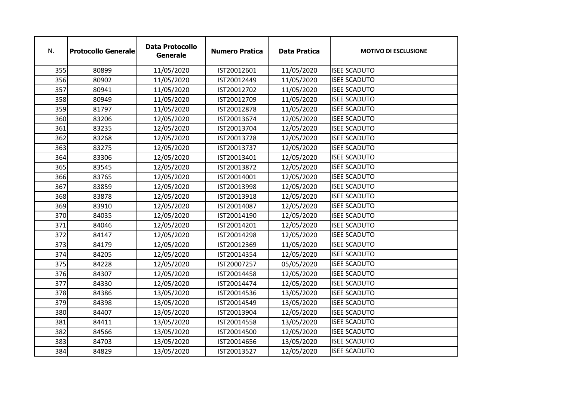| N.  | <b>Protocollo Generale</b> | <b>Data Protocollo</b><br><b>Generale</b> | <b>Numero Pratica</b> | <b>Data Pratica</b> | <b>MOTIVO DI ESCLUSIONE</b> |
|-----|----------------------------|-------------------------------------------|-----------------------|---------------------|-----------------------------|
| 355 | 80899                      | 11/05/2020                                | IST20012601           | 11/05/2020          | <b>ISEE SCADUTO</b>         |
| 356 | 80902                      | 11/05/2020                                | IST20012449           | 11/05/2020          | <b>ISEE SCADUTO</b>         |
| 357 | 80941                      | 11/05/2020                                | IST20012702           | 11/05/2020          | <b>ISEE SCADUTO</b>         |
| 358 | 80949                      | 11/05/2020                                | IST20012709           | 11/05/2020          | <b>ISEE SCADUTO</b>         |
| 359 | 81797                      | 11/05/2020                                | IST20012878           | 11/05/2020          | <b>ISEE SCADUTO</b>         |
| 360 | 83206                      | 12/05/2020                                | IST20013674           | 12/05/2020          | <b>ISEE SCADUTO</b>         |
| 361 | 83235                      | 12/05/2020                                | IST20013704           | 12/05/2020          | <b>ISEE SCADUTO</b>         |
| 362 | 83268                      | 12/05/2020                                | IST20013728           | 12/05/2020          | <b>ISEE SCADUTO</b>         |
| 363 | 83275                      | 12/05/2020                                | IST20013737           | 12/05/2020          | <b>ISEE SCADUTO</b>         |
| 364 | 83306                      | 12/05/2020                                | IST20013401           | 12/05/2020          | <b>ISEE SCADUTO</b>         |
| 365 | 83545                      | 12/05/2020                                | IST20013872           | 12/05/2020          | <b>ISEE SCADUTO</b>         |
| 366 | 83765                      | 12/05/2020                                | IST20014001           | 12/05/2020          | <b>ISEE SCADUTO</b>         |
| 367 | 83859                      | 12/05/2020                                | IST20013998           | 12/05/2020          | <b>ISEE SCADUTO</b>         |
| 368 | 83878                      | 12/05/2020                                | IST20013918           | 12/05/2020          | <b>ISEE SCADUTO</b>         |
| 369 | 83910                      | 12/05/2020                                | IST20014087           | 12/05/2020          | <b>ISEE SCADUTO</b>         |
| 370 | 84035                      | 12/05/2020                                | IST20014190           | 12/05/2020          | <b>ISEE SCADUTO</b>         |
| 371 | 84046                      | 12/05/2020                                | IST20014201           | 12/05/2020          | <b>ISEE SCADUTO</b>         |
| 372 | 84147                      | 12/05/2020                                | IST20014298           | 12/05/2020          | <b>ISEE SCADUTO</b>         |
| 373 | 84179                      | 12/05/2020                                | IST20012369           | 11/05/2020          | <b>ISEE SCADUTO</b>         |
| 374 | 84205                      | 12/05/2020                                | IST20014354           | 12/05/2020          | <b>ISEE SCADUTO</b>         |
| 375 | 84228                      | 12/05/2020                                | IST20007257           | 05/05/2020          | <b>ISEE SCADUTO</b>         |
| 376 | 84307                      | 12/05/2020                                | IST20014458           | 12/05/2020          | <b>ISEE SCADUTO</b>         |
| 377 | 84330                      | 12/05/2020                                | IST20014474           | 12/05/2020          | <b>ISEE SCADUTO</b>         |
| 378 | 84386                      | 13/05/2020                                | IST20014536           | 13/05/2020          | <b>ISEE SCADUTO</b>         |
| 379 | 84398                      | 13/05/2020                                | IST20014549           | 13/05/2020          | <b>ISEE SCADUTO</b>         |
| 380 | 84407                      | 13/05/2020                                | IST20013904           | 12/05/2020          | <b>ISEE SCADUTO</b>         |
| 381 | 84411                      | 13/05/2020                                | IST20014558           | 13/05/2020          | <b>ISEE SCADUTO</b>         |
| 382 | 84566                      | 13/05/2020                                | IST20014500           | 12/05/2020          | <b>ISEE SCADUTO</b>         |
| 383 | 84703                      | 13/05/2020                                | IST20014656           | 13/05/2020          | <b>ISEE SCADUTO</b>         |
| 384 | 84829                      | 13/05/2020                                | IST20013527           | 12/05/2020          | <b>ISEE SCADUTO</b>         |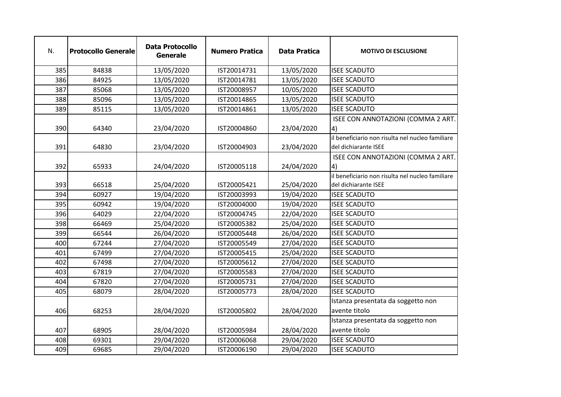| N.  | <b>Protocollo Generale</b> | <b>Data Protocollo</b><br><b>Generale</b> | <b>Numero Pratica</b> | <b>Data Pratica</b> | <b>MOTIVO DI ESCLUSIONE</b>                                              |
|-----|----------------------------|-------------------------------------------|-----------------------|---------------------|--------------------------------------------------------------------------|
| 385 | 84838                      | 13/05/2020                                | IST20014731           | 13/05/2020          | <b>ISEE SCADUTO</b>                                                      |
| 386 | 84925                      | 13/05/2020                                | IST20014781           | 13/05/2020          | <b>ISEE SCADUTO</b>                                                      |
| 387 | 85068                      | 13/05/2020                                | IST20008957           | 10/05/2020          | <b>ISEE SCADUTO</b>                                                      |
| 388 | 85096                      | 13/05/2020                                | IST20014865           | 13/05/2020          | <b>ISEE SCADUTO</b>                                                      |
| 389 | 85115                      | 13/05/2020                                | IST20014861           | 13/05/2020          | <b>ISEE SCADUTO</b>                                                      |
| 390 | 64340                      | 23/04/2020                                | IST20004860           | 23/04/2020          | ISEE CON ANNOTAZIONI (COMMA 2 ART.<br> 4)                                |
| 391 | 64830                      | 23/04/2020                                | IST20004903           | 23/04/2020          | il beneficiario non risulta nel nucleo familiare<br>del dichiarante ISEE |
| 392 | 65933                      | 24/04/2020                                | IST20005118           | 24/04/2020          | ISEE CON ANNOTAZIONI (COMMA 2 ART.<br> 4)                                |
| 393 | 66518                      | 25/04/2020                                | IST20005421           | 25/04/2020          | il beneficiario non risulta nel nucleo familiare<br>del dichiarante ISEE |
| 394 | 60927                      | 19/04/2020                                | IST20003993           | 19/04/2020          | <b>ISEE SCADUTO</b>                                                      |
| 395 | 60942                      | 19/04/2020                                | IST20004000           | 19/04/2020          | <b>ISEE SCADUTO</b>                                                      |
| 396 | 64029                      | 22/04/2020                                | IST20004745           | 22/04/2020          | <b>ISEE SCADUTO</b>                                                      |
| 398 | 66469                      | 25/04/2020                                | IST20005382           | 25/04/2020          | <b>ISEE SCADUTO</b>                                                      |
| 399 | 66544                      | 26/04/2020                                | IST20005448           | 26/04/2020          | <b>ISEE SCADUTO</b>                                                      |
| 400 | 67244                      | 27/04/2020                                | IST20005549           | 27/04/2020          | <b>ISEE SCADUTO</b>                                                      |
| 401 | 67499                      | 27/04/2020                                | IST20005415           | 25/04/2020          | <b>ISEE SCADUTO</b>                                                      |
| 402 | 67498                      | 27/04/2020                                | IST20005612           | 27/04/2020          | <b>ISEE SCADUTO</b>                                                      |
| 403 | 67819                      | 27/04/2020                                | IST20005583           | 27/04/2020          | <b>ISEE SCADUTO</b>                                                      |
| 404 | 67820                      | 27/04/2020                                | IST20005731           | 27/04/2020          | <b>ISEE SCADUTO</b>                                                      |
| 405 | 68079                      | 28/04/2020                                | IST20005773           | 28/04/2020          | <b>ISEE SCADUTO</b>                                                      |
| 406 | 68253                      | 28/04/2020                                | IST20005802           | 28/04/2020          | Istanza presentata da soggetto non<br>avente titolo                      |
| 407 | 68905                      | 28/04/2020                                | IST20005984           | 28/04/2020          | Istanza presentata da soggetto non<br>avente titolo                      |
| 408 | 69301                      | 29/04/2020                                | IST20006068           | 29/04/2020          | <b>ISEE SCADUTO</b>                                                      |
| 409 | 69685                      | 29/04/2020                                | IST20006190           | 29/04/2020          | <b>ISEE SCADUTO</b>                                                      |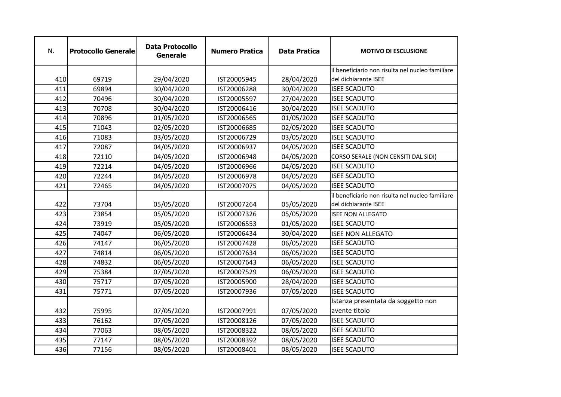| N.  | <b>Protocollo Generale</b> | <b>Data Protocollo</b><br><b>Generale</b> | <b>Numero Pratica</b> | <b>Data Pratica</b> | <b>MOTIVO DI ESCLUSIONE</b>                                              |
|-----|----------------------------|-------------------------------------------|-----------------------|---------------------|--------------------------------------------------------------------------|
|     |                            |                                           |                       |                     | il beneficiario non risulta nel nucleo familiare                         |
| 410 | 69719                      | 29/04/2020                                | IST20005945           | 28/04/2020          | del dichiarante ISEE                                                     |
| 411 | 69894                      | 30/04/2020                                | IST20006288           | 30/04/2020          | <b>ISEE SCADUTO</b>                                                      |
| 412 | 70496                      | 30/04/2020                                | IST20005597           | 27/04/2020          | <b>ISEE SCADUTO</b>                                                      |
| 413 | 70708                      | 30/04/2020                                | IST20006416           | 30/04/2020          | <b>ISEE SCADUTO</b>                                                      |
| 414 | 70896                      | 01/05/2020                                | IST20006565           | 01/05/2020          | <b>ISEE SCADUTO</b>                                                      |
| 415 | 71043                      | 02/05/2020                                | IST20006685           | 02/05/2020          | <b>ISEE SCADUTO</b>                                                      |
| 416 | 71083                      | 03/05/2020                                | IST20006729           | 03/05/2020          | <b>ISEE SCADUTO</b>                                                      |
| 417 | 72087                      | 04/05/2020                                | IST20006937           | 04/05/2020          | <b>ISEE SCADUTO</b>                                                      |
| 418 | 72110                      | 04/05/2020                                | IST20006948           | 04/05/2020          | CORSO SERALE (NON CENSITI DAL SIDI)                                      |
| 419 | 72214                      | 04/05/2020                                | IST20006966           | 04/05/2020          | <b>ISEE SCADUTO</b>                                                      |
| 420 | 72244                      | 04/05/2020                                | IST20006978           | 04/05/2020          | <b>ISEE SCADUTO</b>                                                      |
| 421 | 72465                      | 04/05/2020                                | IST20007075           | 04/05/2020          | <b>ISEE SCADUTO</b>                                                      |
| 422 | 73704                      | 05/05/2020                                | IST20007264           | 05/05/2020          | il beneficiario non risulta nel nucleo familiare<br>del dichiarante ISEE |
| 423 | 73854                      | 05/05/2020                                | IST20007326           | 05/05/2020          | <b>ISEE NON ALLEGATO</b>                                                 |
| 424 | 73919                      | 05/05/2020                                | IST20006553           | 01/05/2020          | <b>ISEE SCADUTO</b>                                                      |
| 425 | 74047                      | 06/05/2020                                | IST20006434           | 30/04/2020          | <b>ISEE NON ALLEGATO</b>                                                 |
| 426 | 74147                      | 06/05/2020                                | IST20007428           | 06/05/2020          | <b>ISEE SCADUTO</b>                                                      |
| 427 | 74814                      | 06/05/2020                                | IST20007634           | 06/05/2020          | <b>ISEE SCADUTO</b>                                                      |
| 428 | 74832                      | 06/05/2020                                | IST20007643           | 06/05/2020          | <b>ISEE SCADUTO</b>                                                      |
| 429 | 75384                      | 07/05/2020                                | IST20007529           | 06/05/2020          | <b>ISEE SCADUTO</b>                                                      |
| 430 | 75717                      | 07/05/2020                                | IST20005900           | 28/04/2020          | <b>ISEE SCADUTO</b>                                                      |
| 431 | 75771                      | 07/05/2020                                | IST20007936           | 07/05/2020          | <b>ISEE SCADUTO</b>                                                      |
|     |                            |                                           |                       |                     | Istanza presentata da soggetto non                                       |
| 432 | 75995                      | 07/05/2020                                | IST20007991           | 07/05/2020          | avente titolo                                                            |
| 433 | 76162                      | 07/05/2020                                | IST20008126           | 07/05/2020          | <b>ISEE SCADUTO</b>                                                      |
| 434 | 77063                      | 08/05/2020                                | IST20008322           | 08/05/2020          | <b>ISEE SCADUTO</b>                                                      |
| 435 | 77147                      | 08/05/2020                                | IST20008392           | 08/05/2020          | <b>ISEE SCADUTO</b>                                                      |
| 436 | 77156                      | 08/05/2020                                | IST20008401           | 08/05/2020          | <b>ISEE SCADUTO</b>                                                      |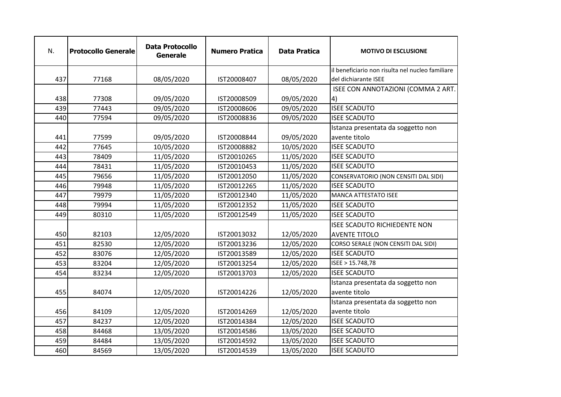| N.  | <b>Protocollo Generale</b> | <b>Data Protocollo</b><br><b>Generale</b> | <b>Numero Pratica</b> | <b>Data Pratica</b> | <b>MOTIVO DI ESCLUSIONE</b>                      |
|-----|----------------------------|-------------------------------------------|-----------------------|---------------------|--------------------------------------------------|
|     |                            |                                           |                       |                     | il beneficiario non risulta nel nucleo familiare |
| 437 | 77168                      | 08/05/2020                                | IST20008407           | 08/05/2020          | del dichiarante ISEE                             |
|     |                            |                                           |                       |                     | ISEE CON ANNOTAZIONI (COMMA 2 ART.               |
| 438 | 77308                      | 09/05/2020                                | IST20008509           | 09/05/2020          | $\vert 4 \rangle$                                |
| 439 | 77443                      | 09/05/2020                                | IST20008606           | 09/05/2020          | <b>ISEE SCADUTO</b>                              |
| 440 | 77594                      | 09/05/2020                                | IST20008836           | 09/05/2020          | <b>ISEE SCADUTO</b>                              |
|     |                            |                                           |                       |                     | Istanza presentata da soggetto non               |
| 441 | 77599                      | 09/05/2020                                | IST20008844           | 09/05/2020          | avente titolo                                    |
| 442 | 77645                      | 10/05/2020                                | IST20008882           | 10/05/2020          | <b>ISEE SCADUTO</b>                              |
| 443 | 78409                      | 11/05/2020                                | IST20010265           | 11/05/2020          | <b>ISEE SCADUTO</b>                              |
| 444 | 78431                      | 11/05/2020                                | IST20010453           | 11/05/2020          | <b>ISEE SCADUTO</b>                              |
| 445 | 79656                      | 11/05/2020                                | IST20012050           | 11/05/2020          | CONSERVATORIO (NON CENSITI DAL SIDI)             |
| 446 | 79948                      | 11/05/2020                                | IST20012265           | 11/05/2020          | <b>ISEE SCADUTO</b>                              |
| 447 | 79979                      | 11/05/2020                                | IST20012340           | 11/05/2020          | <b>MANCA ATTESTATO ISEE</b>                      |
| 448 | 79994                      | 11/05/2020                                | IST20012352           | 11/05/2020          | <b>ISEE SCADUTO</b>                              |
| 449 | 80310                      | 11/05/2020                                | IST20012549           | 11/05/2020          | <b>ISEE SCADUTO</b>                              |
|     |                            |                                           |                       |                     | <b>ISEE SCADUTO RICHIEDENTE NON</b>              |
| 450 | 82103                      | 12/05/2020                                | IST20013032           | 12/05/2020          | <b>AVENTE TITOLO</b>                             |
| 451 | 82530                      | 12/05/2020                                | IST20013236           | 12/05/2020          | CORSO SERALE (NON CENSITI DAL SIDI)              |
| 452 | 83076                      | 12/05/2020                                | IST20013589           | 12/05/2020          | <b>ISEE SCADUTO</b>                              |
| 453 | 83204                      | 12/05/2020                                | IST20013254           | 12/05/2020          | ISEE > 15.748,78                                 |
| 454 | 83234                      | 12/05/2020                                | IST20013703           | 12/05/2020          | <b>ISEE SCADUTO</b>                              |
|     |                            |                                           |                       |                     | Istanza presentata da soggetto non               |
| 455 | 84074                      | 12/05/2020                                | IST20014226           | 12/05/2020          | avente titolo                                    |
|     |                            |                                           |                       |                     | Istanza presentata da soggetto non               |
| 456 | 84109                      | 12/05/2020                                | IST20014269           | 12/05/2020          | avente titolo                                    |
| 457 | 84237                      | 12/05/2020                                | IST20014384           | 12/05/2020          | <b>ISEE SCADUTO</b>                              |
| 458 | 84468                      | 13/05/2020                                | IST20014586           | 13/05/2020          | <b>ISEE SCADUTO</b>                              |
| 459 | 84484                      | 13/05/2020                                | IST20014592           | 13/05/2020          | <b>ISEE SCADUTO</b>                              |
| 460 | 84569                      | 13/05/2020                                | IST20014539           | 13/05/2020          | <b>ISEE SCADUTO</b>                              |